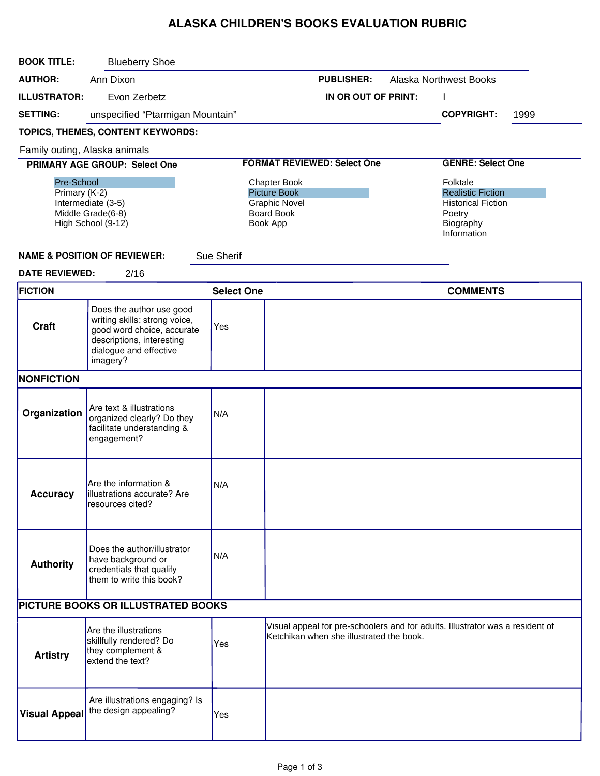## ALASKA CHILDREN'S BOOKS EVALUATION RUBRIC

| <b>BOOK TITLE:</b>                                                                           | <b>Blueberry Shoe</b>                                                                                                                                      |                                                                                              |  |                                                    |                          |                                                                                                         |      |  |
|----------------------------------------------------------------------------------------------|------------------------------------------------------------------------------------------------------------------------------------------------------------|----------------------------------------------------------------------------------------------|--|----------------------------------------------------|--------------------------|---------------------------------------------------------------------------------------------------------|------|--|
| <b>AUTHOR:</b>                                                                               | Ann Dixon                                                                                                                                                  |                                                                                              |  | <b>Alaska Northwest Books</b><br><b>PUBLISHER:</b> |                          |                                                                                                         |      |  |
| <b>ILLUSTRATOR:</b>                                                                          | Evon Zerbetz                                                                                                                                               |                                                                                              |  | IN OR OUT OF PRINT:                                |                          |                                                                                                         |      |  |
| <b>SETTING:</b>                                                                              | unspecified "Ptarmigan Mountain"                                                                                                                           |                                                                                              |  |                                                    |                          | <b>COPYRIGHT:</b>                                                                                       | 1999 |  |
|                                                                                              | TOPICS, THEMES, CONTENT KEYWORDS:                                                                                                                          |                                                                                              |  |                                                    |                          |                                                                                                         |      |  |
| Family outing, Alaska animals                                                                |                                                                                                                                                            |                                                                                              |  |                                                    |                          |                                                                                                         |      |  |
| PRIMARY AGE GROUP: Select One                                                                |                                                                                                                                                            | <b>FORMAT REVIEWED: Select One</b>                                                           |  |                                                    | <b>GENRE: Select One</b> |                                                                                                         |      |  |
| Pre-School<br>Primary (K-2)<br>Intermediate (3-5)<br>Middle Grade(6-8)<br>High School (9-12) |                                                                                                                                                            | Chapter Book<br><b>Picture Book</b><br><b>Graphic Novel</b><br><b>Board Book</b><br>Book App |  |                                                    |                          | Folktale<br><b>Realistic Fiction</b><br><b>Historical Fiction</b><br>Poetry<br>Biography<br>Information |      |  |
|                                                                                              | <b>NAME &amp; POSITION OF REVIEWER:</b>                                                                                                                    | <b>Sue Sherif</b>                                                                            |  |                                                    |                          |                                                                                                         |      |  |
| <b>DATE REVIEWED:</b>                                                                        | 2/16                                                                                                                                                       |                                                                                              |  |                                                    |                          |                                                                                                         |      |  |
| <b>FICTION</b>                                                                               |                                                                                                                                                            | <b>Select One</b>                                                                            |  |                                                    |                          | <b>COMMENTS</b>                                                                                         |      |  |
| Craft                                                                                        | Does the author use good<br>writing skills: strong voice,<br>good word choice, accurate<br>descriptions, interesting<br>dialogue and effective<br>imagery? | Yes                                                                                          |  |                                                    |                          |                                                                                                         |      |  |
| NONFICTION                                                                                   |                                                                                                                                                            |                                                                                              |  |                                                    |                          |                                                                                                         |      |  |
| Organization                                                                                 | Are text & illustrations<br>organized clearly? Do they<br>facilitate understanding &<br>engagement?                                                        | N/A                                                                                          |  |                                                    |                          |                                                                                                         |      |  |
| <b>Accuracy</b>                                                                              | Are the information &<br>lillustrations accurate? Are<br>resources cited?                                                                                  | N/A                                                                                          |  |                                                    |                          |                                                                                                         |      |  |
| <b>Authority</b>                                                                             | Does the author/illustrator<br>have background or<br>credentials that qualify<br>them to write this book?                                                  | N/A                                                                                          |  |                                                    |                          |                                                                                                         |      |  |
|                                                                                              | PICTURE BOOKS OR ILLUSTRATED BOOKS                                                                                                                         |                                                                                              |  |                                                    |                          |                                                                                                         |      |  |
| <b>Artistry</b>                                                                              | Are the illustrations<br>skillfully rendered? Do<br>they complement &<br>extend the text?                                                                  | Yes                                                                                          |  | Ketchikan when she illustrated the book.           |                          | Visual appeal for pre-schoolers and for adults. Illustrator was a resident of                           |      |  |
| <b>Visual Appeal</b>                                                                         | Are illustrations engaging? Is<br>the design appealing?                                                                                                    | Yes                                                                                          |  |                                                    |                          |                                                                                                         |      |  |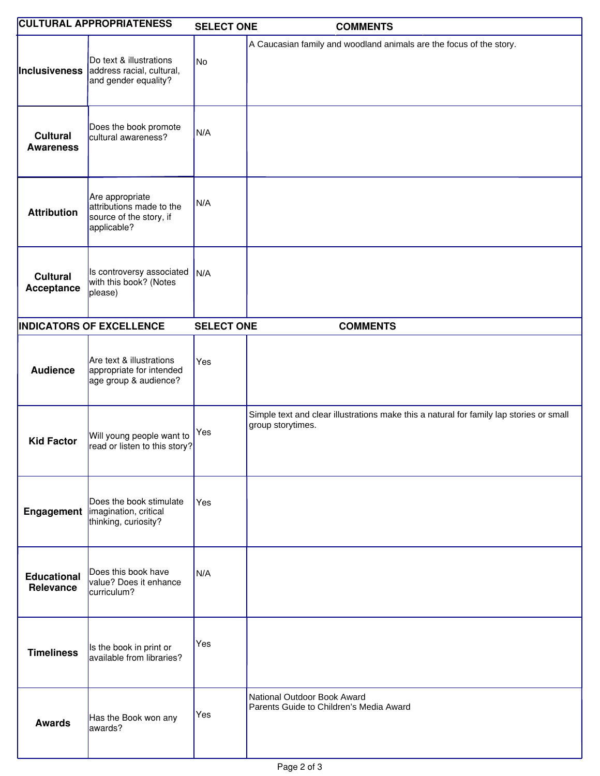|                                     | <b>CULTURAL APPROPRIATENESS</b>                                                       | <b>SELECT ONE</b> | <b>COMMENTS</b>                                                                                              |
|-------------------------------------|---------------------------------------------------------------------------------------|-------------------|--------------------------------------------------------------------------------------------------------------|
| Inclusiveness                       | Do text & illustrations<br>address racial, cultural,<br>and gender equality?          | No                | A Caucasian family and woodland animals are the focus of the story.                                          |
| <b>Cultural</b><br><b>Awareness</b> | Does the book promote<br>cultural awareness?                                          | N/A               |                                                                                                              |
| <b>Attribution</b>                  | Are appropriate<br>attributions made to the<br>source of the story, if<br>applicable? | N/A               |                                                                                                              |
| <b>Cultural</b><br>Acceptance       | Is controversy associated<br>with this book? (Notes<br>please)                        | N/A               |                                                                                                              |
|                                     | <b>INDICATORS OF EXCELLENCE</b>                                                       | <b>SELECT ONE</b> | <b>COMMENTS</b>                                                                                              |
| <b>Audience</b>                     | Are text & illustrations<br>appropriate for intended<br>age group & audience?         | Yes               |                                                                                                              |
| <b>Kid Factor</b>                   | Will young people want to<br>read or listen to this story?                            | Yes               | Simple text and clear illustrations make this a natural for family lap stories or small<br>group storytimes. |
|                                     | Does the book stimulate<br>Engagement   imagination, critical<br>thinking, curiosity? | Yes               |                                                                                                              |
| <b>Educational</b><br>Relevance     | Does this book have<br>value? Does it enhance<br>curriculum?                          | N/A               |                                                                                                              |
| <b>Timeliness</b>                   | Is the book in print or<br>available from libraries?                                  | Yes               |                                                                                                              |
| <b>Awards</b>                       | Has the Book won any<br>awards?                                                       | Yes               | National Outdoor Book Award<br>Parents Guide to Children's Media Award                                       |